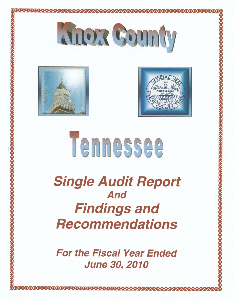





# Tennessee

**Single Audit Report** And **Findings and Recommendations** 

**For the Fiscal Year Ended June 30, 2010**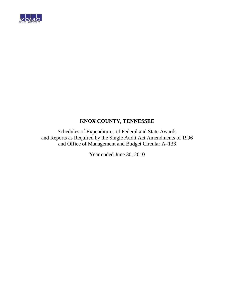

Schedules of Expenditures of Federal and State Awards and Reports as Required by the Single Audit Act Amendments of 1996 and Office of Management and Budget Circular A–133

Year ended June 30, 2010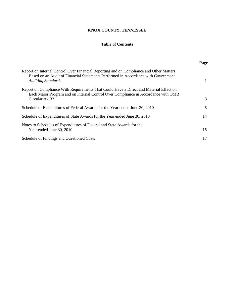#### **Table of Contents**

|                                                                                                                                                                                                           | Page |
|-----------------------------------------------------------------------------------------------------------------------------------------------------------------------------------------------------------|------|
| Report on Internal Control Over Financial Reporting and on Compliance and Other Matters<br>Based on an Audit of Financial Statements Performed in Accordance with Government<br><b>Auditing Standards</b> |      |
| Report on Compliance With Requirements That Could Have a Direct and Material Effect on<br>Each Major Program and on Internal Control Over Compliance in Accordance with OMB<br>Circular A-133             | 3    |
| Schedule of Expenditures of Federal Awards for the Year ended June 30, 2010                                                                                                                               | 5    |
| Schedule of Expenditures of State Awards for the Year ended June 30, 2010                                                                                                                                 | 14   |
| Notes to Schedules of Expenditures of Federal and State Awards for the<br>Year ended June 30, 2010                                                                                                        | 15   |
| Schedule of Findings and Questioned Costs                                                                                                                                                                 | 17   |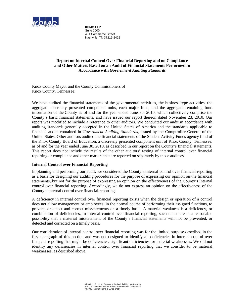

**KPMG LLP**  Suite 1000 401 Commerce Street Nashville, TN 37219-2422

#### **Report on Internal Control Over Financial Reporting and on Compliance and Other Matters Based on an Audit of Financial Statements Performed in Accordance with** *Government Auditing Standards*

Knox County Mayor and the County Commissioners of Knox County, Tennessee:

We have audited the financial statements of the governmental activities, the business-type activities, the aggregate discretely presented component units, each major fund, and the aggregate remaining fund information of the County as of and for the year ended June 30, 2010, which collectively comprise the County's basic financial statements, and have issued our report thereon dated November 23, 2010. Our report was modified to include a reference to other auditors. We conducted our audit in accordance with auditing standards generally accepted in the United States of America and the standards applicable to financial audits contained in *Government Auditing Standards*, issued by the Comptroller General of the United States. Other auditors audited the financial statements of the Student Activity Funds agency fund of the Knox County Board of Education, a discretely presented component unit of Knox County, Tennessee, as of and for the year ended June 30, 2010, as described in our report on the County's financial statements. This report does not include the results of the other auditors' testing of internal control over financial reporting or compliance and other matters that are reported on separately by those auditors.

#### **Internal Control over Financial Reporting**

In planning and performing our audit, we considered the County's internal control over financial reporting as a basis for designing our auditing procedures for the purpose of expressing our opinion on the financial statements, but not for the purpose of expressing an opinion on the effectiveness of the County's internal control over financial reporting. Accordingly, we do not express an opinion on the effectiveness of the County's internal control over financial reporting.

A deficiency in internal control over financial reporting exists when the design or operation of a control does not allow management or employees, in the normal course of performing their assigned functions, to prevent, or detect and correct misstatements on a timely basis. A material weakness is a deficiency, or combination of deficiencies, in internal control over financial reporting, such that there is a reasonable possibility that a material misstatement of the County's financial statements will not be prevented, or detected and corrected on a timely basis.

Our consideration of internal control over financial reporting was for the limited purpose described in the first paragraph of this section and was not designed to identify all deficiencies in internal control over financial reporting that might be deficiencies, significant deficiencies, or material weaknesses. We did not identify any deficiencies in internal control over financial reporting that we consider to be material weaknesses, as described above.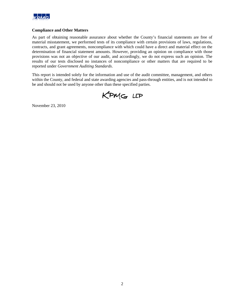

#### **Compliance and Other Matters**

As part of obtaining reasonable assurance about whether the County's financial statements are free of material misstatement, we performed tests of its compliance with certain provisions of laws, regulations, contracts, and grant agreements, noncompliance with which could have a direct and material effect on the determination of financial statement amounts. However, providing an opinion on compliance with those provisions was not an objective of our audit, and accordingly, we do not express such an opinion. The results of our tests disclosed no instances of noncompliance or other matters that are required to be reported under *Government Auditing Standards*.

This report is intended solely for the information and use of the audit committee, management, and others within the County, and federal and state awarding agencies and pass-through entities, and is not intended to be and should not be used by anyone other than these specified parties.

KPMG LLP

November 23, 2010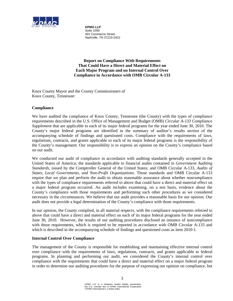

**KPMG LLP**  Suite 1000 401 Commerce Street Nashville, TN 37219-2422

**Report on Compliance With Requirements That Could Have a Direct and Material Effect on Each Major Program and on Internal Control Over Compliance in Accordance with OMB Circular A-133**

Knox County Mayor and the County Commissioners of Knox County, Tennessee:

#### **Compliance**

We have audited the compliance of Knox County, Tennessee (the County) with the types of compliance requirements described in the U.S. Office of Management and Budget (OMB) *Circular A-133 Compliance Supplement* that are applicable to each of its major federal programs for the year ended June 30, 2010. The County's major federal programs are identified in the summary of auditor's results section of the accompanying schedule of findings and questioned costs. Compliance with the requirements of laws, regulations, contracts, and grants applicable to each of its major federal programs is the responsibility of the County's management. Our responsibility is to express an opinion on the County's compliance based on our audit.

We conducted our audit of compliance in accordance with auditing standards generally accepted in the United States of America; the standards applicable to financial audits contained in *Government Auditing Standards*, issued by the Comptroller General of the United States; and OMB Circular A-133, *Audits of States, Local Governments, and Non-Profit Organizations*. Those standards and OMB Circular A-133 require that we plan and perform the audit to obtain reasonable assurance about whether noncompliance with the types of compliance requirements referred to above that could have a direct and material effect on a major federal program occurred. An audit includes examining, on a test basis, evidence about the County's compliance with those requirements and performing such other procedures as we considered necessary in the circumstances. We believe that our audit provides a reasonable basis for our opinion. Our audit does not provide a legal determination of the County's compliance with those requirements.

In our opinion, the County complied, in all material respects, with the compliance requirements referred to above that could have a direct and material effect on each of its major federal programs for the year ended June 30, 2010. However, the results of our auditing procedures disclosed an instance of noncompliance with those requirements, which is required to be reported in accordance with OMB Circular A-133 and which is described in the accompanying schedule of findings and questioned costs as item 2010-1.

#### **Internal Control Over Compliance**

The management of the County is responsible for establishing and maintaining effective internal control over compliance with the requirements of laws, regulations, contracts, and grants applicable to federal programs. In planning and performing our audit, we considered the County's internal control over compliance with the requirements that could have a direct and material effect on a major federal program in order to determine our auditing procedures for the purpose of expressing our opinion on compliance, but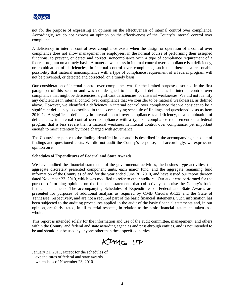

not for the purpose of expressing an opinion on the effectiveness of internal control over compliance. Accordingly, we do not express an opinion on the effectiveness of the County's internal control over compliance.

A deficiency in internal control over compliance exists when the design or operation of a control over compliance does not allow management or employees, in the normal course of performing their assigned functions, to prevent, or detect and correct, noncompliance with a type of compliance requirement of a federal program on a timely basis. A material weakness in internal control over compliance is a deficiency, or combination of deficiencies, in internal control over compliance, such that there is a reasonable possibility that material noncompliance with a type of compliance requirement of a federal program will not be prevented, or detected and corrected, on a timely basis.

Our consideration of internal control over compliance was for the limited purpose described in the first paragraph of this section and was not designed to identify all deficiencies in internal control over compliance that might be deficiencies, significant deficiencies, or material weaknesses. We did not identify any deficiencies in internal control over compliance that we consider to be material weaknesses, as defined above. However, we identified a deficiency in internal control over compliance that we consider to be a significant deficiency as described in the accompanying schedule of findings and questioned costs as item 2010-1. A significant deficiency in internal control over compliance is a deficiency, or a combination of deficiencies, in internal control over compliance with a type of compliance requirement of a federal program that is less severe than a material weakness in internal control over compliance, yet important enough to merit attention by those charged with governance.

The County's response to the finding identified in our audit is described in the accompanying schedule of findings and questioned costs. We did not audit the County's response, and accordingly, we express no opinion on it.

#### **Schedules of Expenditures of Federal and State Awards**

We have audited the financial statements of the governmental activities, the business-type activities, the aggregate discretely presented component units, each major fund, and the aggregate remaining fund information of the County as of and for the year ended June 30, 2010, and have issued our report thereon dated November 23, 2010, which was modified to refer to other auditors. Our audit was performed for the purpose of forming opinions on the financial statements that collectively comprise the County's basic financial statements. The accompanying Schedules of Expenditures of Federal and State Awards are presented for purposes of additional analysis as required by OMB Circular A-133 and the State of Tennessee, respectively, and are not a required part of the basic financial statements. Such information has been subjected to the auditing procedures applied in the audit of the basic financial statements and, in our opinion, are fairly stated, in all material respects, in relation to the basic financial statements taken as a whole.

This report is intended solely for the information and use of the audit committee, management, and others within the County, and federal and state awarding agencies and pass-through entities, and is not intended to be and should not be used by anyone other than these specified parties.

KPMG LLP

January 31, 2011, except for the schedules of expenditures of federal and state awards which is as of November 23, 2010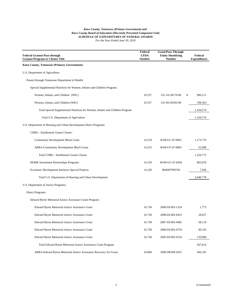| <b>Federal Grantor/Pass-through</b><br><b>Grantor/Program or Cluster Title</b> | Federal<br><b>CFDA</b><br><b>Number</b> | <b>Grant/Pass-Through</b><br><b>Entity Identifying</b><br><b>Number</b> | Federal<br><b>Expenditures</b> |
|--------------------------------------------------------------------------------|-----------------------------------------|-------------------------------------------------------------------------|--------------------------------|
| Knox County, Tennessee (Primary Government):                                   |                                         |                                                                         |                                |
| U.S. Department of Agriculture:                                                |                                         |                                                                         |                                |
| Passed through Tennessee Department of Health:                                 |                                         |                                                                         |                                |
| Special Supplemental Nutrition for Women, Infants and Children Program:        |                                         |                                                                         |                                |
| Women, Infants, and Children (WIC)                                             | 10.557                                  | GG-10-30179-00                                                          | \$<br>906,211                  |
| Women, Infants, and Children (WIC)                                             | 10.557                                  | GG-09-26592-00                                                          | 198,363                        |
| Total Special Supplemental Nutrition for Women, Infants and Children Program   |                                         |                                                                         | 1,104,574                      |
| Total U.S. Department of Agriculture                                           |                                         |                                                                         | 1,104,574                      |
| U.S. Department of Housing and Urban Development Direct Programs:              |                                         |                                                                         |                                |
| CDBG - Entitlement Grants Cluster:                                             |                                         |                                                                         |                                |
| <b>Community Development Block Grant</b>                                       | 14.218                                  | B-09-UC-47-0001                                                         | 1,173,774                      |
| <b>ARRA-Community Development Block Grant</b>                                  | 14.253                                  | B-09-UY-47-0001                                                         | 55,998                         |
| <b>Total CDBG - Entitlement Grants Cluster</b>                                 |                                         |                                                                         | 1,229,772                      |
| <b>HOME</b> Investment Partnerships Programs                                   | 14.239                                  | M-00-UC-47-0204                                                         | 803,070                        |
| Economic Development Initiative Special Projects                               | 14.228                                  | B04SPTN0749                                                             | 7,936                          |
| Total U.S. Department of Housing and Urban Development                         |                                         |                                                                         | 2,040,778                      |
| U.S. Department of Justice Programs:                                           |                                         |                                                                         |                                |
| Direct Programs:                                                               |                                         |                                                                         |                                |
| Edward Byrne Memorial Justice Assistance Grant Program:                        |                                         |                                                                         |                                |
| Edward Byrne Memorial Justice Assistance Grant                                 | 16.738                                  | 2009-DJ-BX-1324                                                         | 1,773                          |
| Edward Byrne Memorial Justice Assistance Grant                                 | 16.738                                  | 2008-DJ-BX-0453                                                         | 18,027                         |
| Edward Byrne Memorial Justice Assistance Grant                                 | 16.738                                  | 2007-DJ-BX-0485                                                         | 58,119                         |
| Edward Byrne Memorial Justice Assistance Grant                                 | 16.738                                  | 2006-DJ-BX-0729                                                         | 49,195                         |
| Edward Byrne Memorial Justice Assistance Grant                                 | 16.738                                  | 2005-DJ-BX-0234                                                         | 139,900                        |
| Total Edward Byrne Memorial Justice Assistance Grant Program                   |                                         |                                                                         | 267,014                        |
| ARRA-Edward Byrne Memorial Justice Assistance Recovery Act Grant               | 16.804                                  | 2009-SB-B9-2035                                                         | 566,105                        |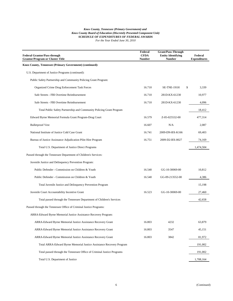| <b>Federal Grantor/Pass-through</b><br><b>Grantor/Program or Cluster Title</b> | Federal<br><b>CFDA</b><br><b>Number</b> | <b>Grant/Pass-Through</b><br><b>Entity Identifying</b><br><b>Number</b> | Federal<br><b>Expenditures</b> |
|--------------------------------------------------------------------------------|-----------------------------------------|-------------------------------------------------------------------------|--------------------------------|
| Knox County, Tennessee (Primary Government) (continued):                       |                                         |                                                                         |                                |
| U.S. Department of Justice Programs (continued):                               |                                         |                                                                         |                                |
| Public Safety Partnership and Community Policing Grant Program:                |                                         |                                                                         |                                |
| Organized Crime Drug Enforcement Task Forces                                   | 16.710                                  | SE-TNE-191H                                                             | \$<br>3,339                    |
| Safe Streets - FBI Overtime Reimbursement                                      | 16.710                                  | 281D-KX-61230                                                           | 10,977                         |
| Safe Streets - FBI Overtime Reimbursement                                      | 16.710                                  | 281D-KX-61230                                                           | 4,096                          |
| Total Public Safety Partnership and Community Policing Grant Program           |                                         |                                                                         | 18,412                         |
| Edward Byrne Memorial Formula Grant Program-Drug Court                         | 16.579                                  | Z-05-025532-00                                                          | 477,314                        |
| <b>Bulletproof Vest</b>                                                        | 16.607                                  | N/A                                                                     | 2,087                          |
| National Institute of Justice Cold Case Grant                                  | 16.741                                  | 2009-DN-BX-K166                                                         | 69,403                         |
| Bureau of Justice Assistance Adjudication Pilot Hire Program                   | 16.751                                  | 2009-D2-BX-0027                                                         | 74,169                         |
| Total U.S. Department of Justice Direct Programs                               |                                         |                                                                         | 1,474,504                      |
| Passed through the Tennessee Department of Children's Services:                |                                         |                                                                         |                                |
| Juvenile Justice and Delinquency Prevention Program:                           |                                         |                                                                         |                                |
| Public Defender - Commission on Children & Youth                               | 16.540                                  | GG-10-30069-00                                                          | 10,812                         |
| Public Defender - Commission on Children & Youth                               | 16.540                                  | GG-09-213552-00                                                         | 4,386                          |
| Total Juvenile Justice and Delinquency Prevention Program                      |                                         |                                                                         | 15,198                         |
| Juvenile Court Accountability Incentive Grant                                  | 16.523                                  | GG-10-30069-00                                                          | 27,460                         |
| Total passed through the Tennessee Department of Children's Services           |                                         |                                                                         | 42,658                         |
| Passed through the Tennessee Office of Criminal Justice Programs:              |                                         |                                                                         |                                |
| ARRA-Edward Byrne Memorial Justice Assistance Recovery Program:                |                                         |                                                                         |                                |
| ARRA-Edward Byrne Memorial Justice Assistance Recovery Grant                   | 16.803                                  | 4232                                                                    | 63,879                         |
| ARRA-Edward Byrne Memorial Justice Assistance Recovery Grant                   | 16.803                                  | 3547                                                                    | 45,151                         |
| ARRA-Edward Byrne Memorial Justice Assistance Recovery Grant                   | 16.803                                  | 3842                                                                    | 81,972                         |
| Total ARRA-Edward Byrne Memorial Justice Assistance Recovery Program           |                                         |                                                                         | 191,002                        |
| Total passed through the Tennessee Office of Criminal Justice Programs         |                                         |                                                                         | 191,002                        |
| Total U.S. Department of Justice                                               |                                         |                                                                         | 1,708,164                      |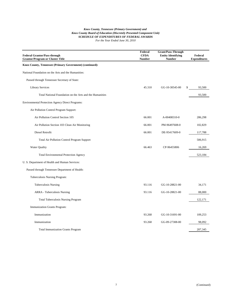| <b>Federal Grantor/Pass-through</b><br><b>Grantor/Program or Cluster Title</b> | Federal<br><b>CFDA</b><br><b>Number</b> | <b>Grant/Pass-Through</b><br><b>Entity Identifying</b><br><b>Number</b> | Federal<br><b>Expenditures</b> |
|--------------------------------------------------------------------------------|-----------------------------------------|-------------------------------------------------------------------------|--------------------------------|
| Knox County, Tennessee (Primary Government) (continued):                       |                                         |                                                                         |                                |
| National Foundation on the Arts and the Humanities:                            |                                         |                                                                         |                                |
| Passed through Tennessee Secretary of State:                                   |                                         |                                                                         |                                |
| <b>Library Services</b>                                                        | 45.310                                  | GG-10-30545-00                                                          | 93,500                         |
| Total National Foundation on the Arts and the Humanities                       |                                         |                                                                         | 93,500                         |
| Environmental Protection Agency Direct Programs:                               |                                         |                                                                         |                                |
| Air Pollution Control Program Support:                                         |                                         |                                                                         |                                |
| Air Pollution Control Section 105                                              | 66.001                                  | A-00408310-0                                                            | 286,298                        |
| Air Pollution Section 103 Clean Air Monitoring                                 | 66.001                                  | PM-96497608-0                                                           | 102,829                        |
| Diesel Retrofit                                                                | 66.001                                  | DE-95417609-0                                                           | 117,788                        |
| <b>Total Air Pollution Control Program Support</b>                             |                                         |                                                                         | 506,915                        |
| <b>Water Quality</b>                                                           | 66.463                                  | CP-96455806                                                             | 16,269                         |
| <b>Total Environmental Protection Agency</b>                                   |                                         |                                                                         | 523,184                        |
| U. S. Department of Health and Human Services:                                 |                                         |                                                                         |                                |
| Passed through Tennessee Department of Health:                                 |                                         |                                                                         |                                |
| Tuberculosis Nursing Program:                                                  |                                         |                                                                         |                                |
| <b>Tuberculosis Nursing</b>                                                    | 93.116                                  | GG-10-28821-00                                                          | 34,171                         |
| ARRA - Tuberculosis Nursing                                                    | 93.116                                  | GG-10-28821-00                                                          | 88,000                         |
| <b>Total Tuberculosis Nursing Program</b>                                      |                                         |                                                                         | 122,171                        |
| Immunization Grants Program:                                                   |                                         |                                                                         |                                |
| Immunization                                                                   | 93.268                                  | GG-10-31691-00                                                          | 109,253                        |
| Immunization                                                                   | 93.268                                  | GG-09-27308-00                                                          | 98,092                         |
| <b>Total Immunization Grants Program</b>                                       |                                         |                                                                         | 207,345                        |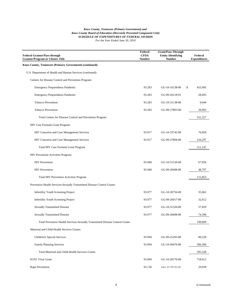| <b>Federal Grantor/Pass-through</b><br><b>Grantor/Program or Cluster Title</b> | Federal<br><b>CFDA</b><br><b>Number</b> | <b>Grant/Pass-Through</b><br><b>Entity Identifying</b><br><b>Number</b> | Federal<br><b>Expenditures</b> |
|--------------------------------------------------------------------------------|-----------------------------------------|-------------------------------------------------------------------------|--------------------------------|
| Knox County, Tennessee (Primary Government) (continued):                       |                                         |                                                                         |                                |
| U.S. Department of Health and Human Services (continued):                      |                                         |                                                                         |                                |
| Centers for Disease Control and Prevention Program:                            |                                         |                                                                         |                                |
| <b>Emergency Preparedness Pandemic</b>                                         | 93.283                                  | GG-10-16138-00                                                          | \$<br>453,495                  |
| <b>Emergency Preparedness Pandemic</b>                                         | 93.283                                  | GG-09-26118-01                                                          | 28,695                         |
| <b>Tobacco Prevention</b>                                                      | 93.283                                  | GG-10-31138-00                                                          | 9,044                          |
| <b>Tobacco Prevention</b>                                                      | 93.283                                  | GG-09-27893-00                                                          | 39,993                         |
| Total Centers for Disease Control and Prevention Program                       |                                         |                                                                         | 531,227                        |
| HIV Care Formula Grant Program:                                                |                                         |                                                                         |                                |
| HIV Consortia and Case Management Services                                     | 93.917                                  | GG-10-33742-00                                                          | 76,850                         |
| HIV Consortia and Case Management Services                                     | 93.917                                  | GG-09-27894-00                                                          | 234,297                        |
| Total HIV Care Formula Grant Program                                           |                                         |                                                                         | 311,147                        |
| HIV Prevention Activities Program:                                             |                                         |                                                                         |                                |
| <b>HIV</b> Prevention                                                          | 93.940                                  | GG-10-31520-00                                                          | 67,056                         |
| <b>HIV</b> Prevention                                                          | 93.940                                  | GG-09-28498-00                                                          | 48,797                         |
| Total HIV Prevention Activities Program                                        |                                         |                                                                         | 115,853                        |
| Preventive Health Services-Sexually Transmitted Disease Control Grants:        |                                         |                                                                         |                                |
| Infertility Youth Screening Project                                            | 93.977                                  | GG-10-30756-00                                                          | 35,062                         |
| <b>Infertility Youth Screening Project</b>                                     | 93.977                                  | GG-09-26917-00                                                          | 32,612                         |
| <b>Sexually Transmitted Disease</b>                                            | 93.977                                  | GG-10-31520-00                                                          | 57,829                         |
| <b>Sexually Transmitted Disease</b>                                            | 93.977                                  | GG-09-28498-00                                                          | 74,396                         |
| Total Preventive Health Services-Sexually Transmitted Disease Control Grants   |                                         |                                                                         | 199,899                        |
| Maternal and Child Health Services Grants:                                     |                                         |                                                                         |                                |
| <b>Children's Special Services</b>                                             | 93.994                                  | GG-09-25205-00                                                          | 89,228                         |
| <b>Family Planning Services</b>                                                | 93.994                                  | GU-10-30470-00                                                          | 306,300                        |
| Total Maternal and Child Health Services Grants                                |                                         |                                                                         | 395,528                        |
| H1N1 Virus Grant                                                               | 93.069                                  | GG-10-30176-00                                                          | 718,612                        |
| Rape Prevention                                                                | 93.136                                  | GG-10-29156-00                                                          | 29,039                         |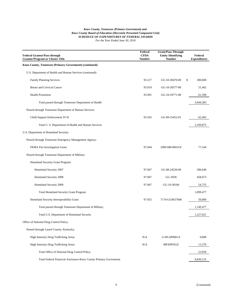| <b>Federal Grantor/Pass-through</b><br><b>Grantor/Program or Cluster Title</b> | Federal<br><b>CFDA</b><br><b>Number</b> | <b>Grant/Pass-Through</b><br><b>Entity Identifying</b><br><b>Number</b> | Federal<br><b>Expenditures</b> |
|--------------------------------------------------------------------------------|-----------------------------------------|-------------------------------------------------------------------------|--------------------------------|
| Knox County, Tennessee (Primary Government) (continued):                       |                                         |                                                                         |                                |
| U.S. Department of Health and Human Services (continued):                      |                                         |                                                                         |                                |
| <b>Family Planning Services</b>                                                | 93.217                                  | GU-10-30470-00                                                          | \$<br>300,600                  |
| <b>Breast and Cervical Cancer</b>                                              | 93.919                                  | GG-10-28577-00                                                          | 51,462                         |
| <b>Health Promotion</b>                                                        | 93.991                                  | GG-10-29771-00                                                          | 61,500                         |
| Total passed through Tennessee Department of Health                            |                                         |                                                                         | 3,044,383                      |
| Passed through Tennessee Department of Human Services:                         |                                         |                                                                         |                                |
| Child Support Enforcement IV-D                                                 | 93.563                                  | GG-09-25452-01                                                          | 65,492                         |
| Total U. S. Department of Health and Human Services                            |                                         |                                                                         | 3,109,875                      |
| U.S. Department of Homeland Security:                                          |                                         |                                                                         |                                |
| Passed through Tennessee Emergency Management Agency:                          |                                         |                                                                         |                                |
| FEMA Fire Investigation Grant                                                  | 97.044                                  | 2009-M8-0001GF                                                          | 77,544                         |
| Passed through Tennessee Department of Military:                               |                                         |                                                                         |                                |
| Homeland Security Grant Program:                                               |                                         |                                                                         |                                |
| Homeland Security 2007                                                         | 97.067                                  | GG-08-24520-00                                                          | 586,649                        |
| Homeland Security 2008                                                         | 97.067                                  | GG-3958                                                                 | 458,073                        |
| Homeland Security 2009                                                         | 97.067                                  | GG-10-30184                                                             | 54,755                         |
| <b>Total Homeland Security Grant Program</b>                                   |                                         |                                                                         | 1,099,477                      |
| Homeland Security Interoperability Grant                                       | 97.055                                  | 7174-GG0927848                                                          | 50,000                         |
| Total passed through Tennessee Department of Military                          |                                         |                                                                         | 1,149,477                      |
| Total U.S. Department of Homeland Security                                     |                                         |                                                                         | 1,227,021                      |
| Office of National Drug Control Policy:                                        |                                         |                                                                         |                                |
| Passed through Laurel County, Kentucky:                                        |                                         |                                                                         |                                |
| High Intensity Drug Trafficking Areas                                          | N/A                                     | G-09-AP0001A                                                            | 9,689                          |
| High Intensity Drug Trafficking Areas                                          | N/A                                     | I8PAPP501Z                                                              | 13,370                         |
| Total Office of National Drug Control Policy                                   |                                         |                                                                         | 23,059                         |
| Total Federal Financial Assistance-Knox County Primary Government              |                                         |                                                                         | 9,830,155                      |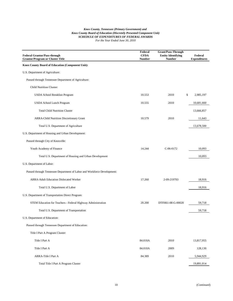| <b>Federal Grantor/Pass-through</b><br><b>Grantor/Program or Cluster Title</b> | Federal<br><b>CFDA</b><br><b>Number</b> | <b>Grant/Pass-Through</b><br><b>Entity Identifying</b><br><b>Number</b> | Federal<br><b>Expenditures</b> |
|--------------------------------------------------------------------------------|-----------------------------------------|-------------------------------------------------------------------------|--------------------------------|
| <b>Knox County Board of Education (Component Unit):</b>                        |                                         |                                                                         |                                |
| U.S. Department of Agriculture:                                                |                                         |                                                                         |                                |
| Passed through Tennessee Department of Agriculture:                            |                                         |                                                                         |                                |
| Child Nutrition Cluster:                                                       |                                         |                                                                         |                                |
| USDA School Breakfast Program                                                  | 10.553                                  | 2010<br>\$                                                              | 2,985,197                      |
| USDA School Lunch Program                                                      | 10.555                                  | 2010                                                                    | 10,681,660                     |
| <b>Total Child Nutrition Cluster</b>                                           |                                         |                                                                         | 13,666,857                     |
| <b>ARRA-Child Nutrition Discretionary Grant</b>                                | 10.579                                  | 2010                                                                    | 11,643                         |
| Total U.S. Department of Agriculture                                           |                                         |                                                                         | 13,678,500                     |
| U.S. Department of Housing and Urban Development:                              |                                         |                                                                         |                                |
| Passed through City of Knoxville:                                              |                                         |                                                                         |                                |
| Youth Academy of Finance                                                       | 14.244                                  | $C-06-0172$                                                             | 10,093                         |
| Total U.S. Department of Housing and Urban Development                         |                                         |                                                                         | 10,093                         |
| U.S. Department of Labor:                                                      |                                         |                                                                         |                                |
| Passed through Tennessee Department of Labor and Workforce Development:        |                                         |                                                                         |                                |
| <b>ARRA-Adult Education Dislocated Worker</b>                                  | 17.260                                  | 2-09-219703                                                             | 18,916                         |
| Total U.S. Department of Labor                                                 |                                         |                                                                         | 18,916                         |
| U.S. Department of Transportation Direct Program:                              |                                         |                                                                         |                                |
| STEM Education for Teachers - Federal Highway Administration                   | 20.200                                  | DTFH61-08-G-00020                                                       | 59,718                         |
| Total U.S. Department of Transportation                                        |                                         |                                                                         | 59,718                         |
| U.S. Department of Education:                                                  |                                         |                                                                         |                                |
| Passed through Tennessee Department of Education:                              |                                         |                                                                         |                                |
| Title I Part A Program Cluster:                                                |                                         |                                                                         |                                |
| Title I Part A                                                                 | 84.010A                                 | 2010                                                                    | 13,817,955                     |
| Title I Part A                                                                 | 84.010A                                 | 2009                                                                    | 128,130                        |
| ARRA-Title I Part A                                                            | 84.389                                  | 2010                                                                    | 5,944,929                      |
| Total Title I Part A Program Cluster                                           |                                         |                                                                         | 19,891,014                     |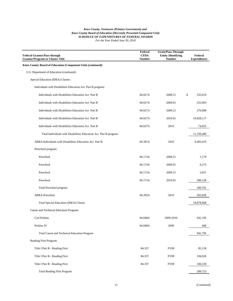| <b>Federal Grantor/Pass-through</b><br><b>Grantor/Program or Cluster Title</b> | Federal<br><b>CFDA</b><br><b>Number</b> | <b>Grant/Pass-Through</b><br><b>Entity Identifying</b><br><b>Number</b> | Federal<br><b>Expenditures</b> |
|--------------------------------------------------------------------------------|-----------------------------------------|-------------------------------------------------------------------------|--------------------------------|
| Knox County Board of Education (Component Unit) (continued):                   |                                         |                                                                         |                                |
| U.S. Department of Education (continued):                                      |                                         |                                                                         |                                |
| Special Education (IDEA) Cluster:                                              |                                         |                                                                         |                                |
| Individuals with Disabilities Education Act Part B program:                    |                                         |                                                                         |                                |
| Individuals with Disabilities Education Act Part B                             | 84.027A                                 | 2008.21                                                                 | \$<br>335,619                  |
| Individuals with Disabilities Education Act Part B                             | 84.027A                                 | 2009.01                                                                 | 255,093                        |
| Individuals with Disabilities Education Act Part B                             | 84.027A                                 | 2009.21                                                                 | 276,008                        |
| Individuals with Disabilities Education Act Part B                             | 84.027A                                 | 2010.01                                                                 | 10,828,117                     |
| Individuals with Disabilities Education Act Part B                             | 84.027A                                 | 2010                                                                    | 74,653                         |
| Total Individuals with Disabilities Education Act Part B program               |                                         |                                                                         | 11,769,490                     |
| ARRA-Individuals with Disabilities Education Act Part B                        | 84.391A                                 | 2010                                                                    | 6,495,019                      |
| Preschool program:                                                             |                                         |                                                                         |                                |
| Preschool                                                                      | 84.173A                                 | 2008.21                                                                 | 1,179                          |
| Preschool                                                                      | 84.173A                                 | 2009.01                                                                 | 6,373                          |
| Preschool                                                                      | 84.173A                                 | 2009.21                                                                 | 2,021                          |
| Preschool                                                                      | 84.173A                                 | 2010.01                                                                 | 300,128                        |
| Total Preschool program                                                        |                                         |                                                                         | 309,701                        |
| ARRA-Preschool                                                                 | 84.392A                                 | 2010                                                                    | 303,858                        |
| Total Special Education (IDEA) Cluster                                         |                                         |                                                                         | 18,878,068                     |
| Career and Technical Education Program:                                        |                                         |                                                                         |                                |
| Carl Perkins                                                                   | 84.048A                                 | 2009-2010                                                               | 941.195                        |
| Perkins IV                                                                     | 84.048A                                 | 2009                                                                    | 600                            |
| Total Career and Technical Education Program                                   |                                         |                                                                         | 941,795                        |
| Reading First Program:                                                         |                                         |                                                                         |                                |
| Title I Part B - Reading First                                                 | 84.357                                  | <b>FY09</b>                                                             | 85,158                         |
| Title I Part B - Reading First                                                 | 84.357                                  | FY09                                                                    | 104,026                        |
| Title I Part B - Reading First                                                 | 84.357                                  | <b>FY09</b>                                                             | 100,539                        |
| <b>Total Reading First Program</b>                                             |                                         |                                                                         | 289,723                        |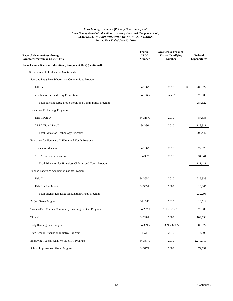| <b>Federal Grantor/Pass-through</b><br><b>Grantor/Program or Cluster Title</b> | Federal<br><b>CFDA</b><br><b>Number</b> | <b>Grant/Pass-Through</b><br><b>Entity Identifying</b><br><b>Number</b> | Federal<br><b>Expenditures</b> |
|--------------------------------------------------------------------------------|-----------------------------------------|-------------------------------------------------------------------------|--------------------------------|
| Knox County Board of Education (Component Unit) (continued):                   |                                         |                                                                         |                                |
| U.S. Department of Education (continued):                                      |                                         |                                                                         |                                |
| Safe and Drug-Free Schools and Communities Program:                            |                                         |                                                                         |                                |
| Title IV                                                                       | 84.186A                                 | \$<br>2010                                                              | 209,622                        |
| Youth Violence and Drug Prevention                                             | 84.186B                                 | Year 3                                                                  | 75,000                         |
| Total Safe and Drug-Free Schools and Communities Program                       |                                         |                                                                         | 284,622                        |
| <b>Education Technology Programs:</b>                                          |                                         |                                                                         |                                |
| Title II Part D                                                                | 84.318X                                 | 2010                                                                    | 87,536                         |
| ARRA-Title II Part D                                                           | 84.386                                  | 2010                                                                    | 118,911                        |
| <b>Total Education Technology Programs</b>                                     |                                         |                                                                         | 206,447                        |
| Education for Homeless Children and Youth Programs:                            |                                         |                                                                         |                                |
| <b>Homeless Education</b>                                                      | 84.196A                                 | 2010                                                                    | 77,070                         |
| <b>ARRA-Homeless Education</b>                                                 | 84.387                                  | 2010                                                                    | 34,341                         |
| Total Education for Homeless Children and Youth Programs                       |                                         |                                                                         | 111,411                        |
| English Language Acquisition Grants Program:                                   |                                         |                                                                         |                                |
| Title III                                                                      | 84.365A                                 | 2010                                                                    | 215,933                        |
| Title III - Immigrant                                                          | 84.365A                                 | 2009                                                                    | 16,365                         |
| Total English Language Acquisition Grants Program                              |                                         |                                                                         | 232,298                        |
| Project Serve Program                                                          | 84.184S                                 | 2010                                                                    | 18,519                         |
| Twenty-First Century Community Learning Centers Program                        | 84.287C                                 | 192-10-1-015                                                            | 378,380                        |
| Title V                                                                        | 84.298A                                 | 2009                                                                    | 104,650                        |
| Early Reading First Program                                                    | 84.359B                                 | S359B060022                                                             | 309,922                        |
| High School Graduation Initiative Program                                      | N/A                                     | 2010                                                                    | 4,998                          |
| Improving Teacher Quality (Title IIA) Program                                  | 84.367A                                 | 2010                                                                    | 2,240,719                      |
| School Improvement Grant Program                                               | 84.377A                                 | 2009                                                                    | 72,597                         |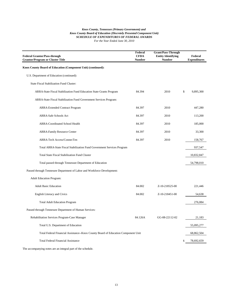#### *Knox County, Tennessee (Primary Government) and Knox County Board of Education (Discretely Presented Component Unit) SCHEDULE OF EXPENDITURES OF FEDERAL AWARDS For the Year Ended June 30, 2010*

| <b>Federal Grantor/Pass-through</b><br><b>Grantor/Program or Cluster Title</b>    | Federal<br><b>CFDA</b><br>Number | <b>Grant/Pass-Through</b><br><b>Entity Identifying</b><br><b>Number</b> | Federal<br><b>Expenditures</b> |
|-----------------------------------------------------------------------------------|----------------------------------|-------------------------------------------------------------------------|--------------------------------|
| Knox County Board of Education (Component Unit) (continued):                      |                                  |                                                                         |                                |
| U.S. Department of Education (continued):                                         |                                  |                                                                         |                                |
| <b>State Fiscal Stabilization Fund Cluster:</b>                                   |                                  |                                                                         |                                |
| ARRA-State Fiscal Stabilization Fund Education State Grants Program               | 84.394                           | 2010                                                                    | \$<br>9,895,300                |
| ARRA-State Fiscal Stabilization Fund Government Services Program:                 |                                  |                                                                         |                                |
| <b>ARRA-Extended Contract Program</b>                                             | 84.397                           | 2010                                                                    | 447,280                        |
| <b>ARRA-Safe Schools Act</b>                                                      | 84.397                           | 2010                                                                    | 113,200                        |
| <b>ARRA-Coordinated School Health</b>                                             | 84.397                           | 2010                                                                    | 185,000                        |
| <b>ARRA-Family Resource Center</b>                                                | 84.397                           | 2010                                                                    | 33,300                         |
| ARRA-Tech Access/ConnecTen                                                        | 84.397                           | 2010                                                                    | 158,767                        |
| Total ARRA-State Fiscal Stabilization Fund Government Services Program            |                                  |                                                                         | 937,547                        |
| <b>Total State Fiscal Stabilization Fund Cluster</b>                              |                                  |                                                                         | 10,832,847                     |
| Total passed through Tennessee Department of Education                            |                                  |                                                                         | 54,798,010                     |
| Passed through Tennessee Department of Labor and Workforce Development:           |                                  |                                                                         |                                |
| <b>Adult Education Program:</b>                                                   |                                  |                                                                         |                                |
| <b>Adult Basic Education</b>                                                      | 84.002                           | Z-10-218525-00                                                          | 221,446                        |
| <b>English Literacy and Civics</b>                                                | 84.002                           | Z-10-218451-00                                                          | 54,638                         |
| <b>Total Adult Education Program</b>                                              |                                  |                                                                         | 276,084                        |
| Passed through Tennessee Department of Human Services:                            |                                  |                                                                         |                                |
| Rehabilitation Services Program-Case Manager                                      | 84.126A                          | GG-08-22112-02                                                          | 21,183                         |
| Total U.S. Department of Education                                                |                                  |                                                                         | 55,095,277                     |
| Total Federal Financial Assistance--Knox County Board of Education Component Unit |                                  |                                                                         | 68,862,504                     |
| <b>Total Federal Financial Assistance</b>                                         |                                  |                                                                         | 78,692,659                     |

The accompanying notes are an integral part of the schedule.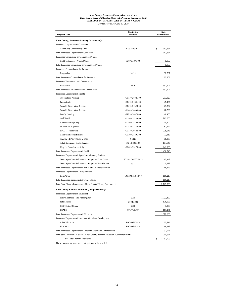## *Knox County, Tennessee (Primary Government) and Knox County Board of Education (Discretely Presented Component Unit) SCHEDULE OF EXPENDITURES OF STATE AWARDS For the Year Ended June 30, 2010*

| <b>Program Title</b>                                                               | <b>Identifying</b><br>Number     | State<br><b>Expenditures</b> |
|------------------------------------------------------------------------------------|----------------------------------|------------------------------|
| Knox County, Tennessee (Primary Government):                                       |                                  |                              |
| Tennessee Department of Corrections:                                               |                                  |                              |
| Community Corrections (CAPP)                                                       | Z-08-021319-01                   | \$<br>613,881                |
| <b>Total Tennessee Department of Corrections</b>                                   |                                  | 613,881                      |
| Tennessee Commission on Children and Youth:                                        |                                  |                              |
| Children Services - Youth Officer                                                  | Z-09-22871-00                    | 9,000                        |
| Total Tennessee Commission on Children and Youth                                   |                                  | 9,000                        |
| Tennessee Comptroller of the Treasury:                                             |                                  |                              |
| Reappraisal                                                                        | 30711                            | 92,707                       |
| Total Tennessee Comptroller of the Treasury                                        |                                  | 92,707                       |
| Tennessee Environment and Conservation:                                            |                                  |                              |
| <b>Waste Tire</b>                                                                  | N/A                              | 392,606                      |
| Total Tennessee Environment and Conservation                                       |                                  | 392,606                      |
| Tennessee Department of Health:                                                    |                                  |                              |
| <b>Tuberculosis Nursing</b>                                                        | GG-10-28821-00                   | 203,829                      |
| Immunization                                                                       | GG-10-31691-00                   | 45,436                       |
| <b>Sexually Transmitted Disease</b>                                                | GG-10-31520-00                   | 23,502                       |
| Sexually Transmitted Disease                                                       | GG-09-28498-00                   | 20,700                       |
| <b>Family Planning</b>                                                             | GU-10-30470-00                   | 40,400                       |
| Oral Health                                                                        | GG-09-25486-00                   | 219,000                      |
| <b>Adolescent Pregnancy</b>                                                        | GG-09-25469-00                   | 45,600                       |
| Diabetes Management                                                                | GG-10-31229-00                   | 87,242                       |
| <b>EPSDT</b> Tenndercare                                                           |                                  |                              |
|                                                                                    | GG-10-29180-00<br>GG-09-25205-00 | 298,648                      |
| Children's Special Services                                                        |                                  | 73,316                       |
| TennCare EPSDT Child in DCS                                                        | <b>NONE</b>                      | 76,333                       |
| <b>Adult Emergency Dental Services</b>                                             | GG-10-30/32-00                   | 104,640                      |
| Help Us Grow Successfully                                                          | GG-09-25170-00                   | 241,900                      |
| <b>Total Tennessee Department of Health</b>                                        |                                  | 1,480,546                    |
| Tennessee Department of Agriculture - Forestry Division:                           |                                  |                              |
| Tenn. Agriculture Enhancement Program - Trees Grant                                | EDISON0000005873                 | 13,143                       |
| Tenn. Agriculture Enhancement Program - New Harvest                                | 6922                             | 5,233                        |
| Total Tennessee Department of Agriculture - Forestry Division                      |                                  | 18,376                       |
| Tennessee Department of Transportation:                                            |                                  |                              |
| <b>Litter Grant</b>                                                                | GG-208-210-12-00                 | 116,213                      |
| Total Tennessee Department of Transportation                                       |                                  | 116,213                      |
| Total State Financial Assistance - Knox County Primary Government                  |                                  | 2,723,329                    |
| Knox County Board of Education (Component Unit):                                   |                                  |                              |
| Tennessee Department of Education:                                                 |                                  |                              |
| Early Childhood - Pre-Kindergarten                                                 | 2010                             | 1,723,180                    |
| Safe Schools                                                                       | 2008-2009                        | 136,986                      |
| <b>GED Testing Center</b>                                                          | 2010                             | 1,339                        |
| <b>LEAPS</b>                                                                       | 119-09-1-023                     | 111,131                      |
| Total Tennessee Department of Education                                            |                                  | 1,972,636                    |
| Tennessee Department of Labor and Workforce Development:                           |                                  |                              |
| <b>Adult Education</b>                                                             | Z-10-218525-00                   | 73,815                       |
| <b>EL Civics</b>                                                                   | Z-10-218451-00                   | 18,213                       |
| Total Tennessee Department of Labor and Workforce Development:                     |                                  | 92,028                       |
| Total State Financial Assistance - Knox County Board of Education (Component Unit) |                                  | 2,064,664                    |
| <b>Total State Financial Assistance</b>                                            |                                  | \$<br>4,787,993              |
|                                                                                    |                                  |                              |

The accompanying notes are an integral part of the schedule.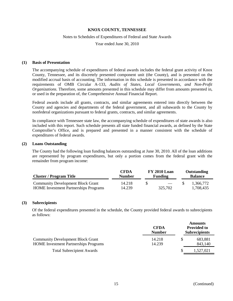#### Notes to Schedules of Expenditures of Federal and State Awards

Year ended June 30, 2010

#### **(1) Basis of Presentation**

The accompanying schedule of expenditures of federal awards includes the federal grant activity of Knox County, Tennessee, and its discretely presented component unit (the County), and is presented on the modified accrual basis of accounting. The information in this schedule is presented in accordance with the requirements of OMB Circular A-133, *Audits of States, Local Governments, and Non-Profit Organizations.* Therefore, some amounts presented in this schedule may differ from amounts presented in, or used in the preparation of, the Comprehensive Annual Financial Report.

Federal awards include all grants, contracts, and similar agreements entered into directly between the County and agencies and departments of the federal government, and all subawards to the County by nonfederal organizations pursuant to federal grants, contracts, and similar agreements.

In compliance with Tennessee state law, the accompanying schedule of expenditures of state awards is also included with this report. Such schedule presents all state funded financial awards, as defined by the State Comptroller's Office, and is prepared and presented in a manner consistent with the schedule of expenditures of federal awards.

#### **(2) Loans Outstanding**

The County had the following loan funding balances outstanding at June 30, 2010. All of the loan additions are represented by program expenditures, but only a portion comes from the federal grant with the remainder from program income:

| <b>Cluster / Program Title</b>                                                           | <b>CFDA</b><br><b>Number</b> | <b>FY 2010 Loan</b><br><b>Funding</b> |                                     | Outstanding<br><b>Balance</b> |  |
|------------------------------------------------------------------------------------------|------------------------------|---------------------------------------|-------------------------------------|-------------------------------|--|
| <b>Community Development Block Grant</b><br><b>HOME</b> Investment Partnerships Programs | 14.218<br>14.239             | \$                                    | $\overline{\phantom{a}}$<br>325,702 | 1.366.772<br>1,708,435        |  |

#### **(3) Subrecipients**

Of the federal expenditures presented in the schedule, the County provided federal awards to subrecipients as follows:

|                                                                                          | <b>CFDA</b><br><b>Number</b> | <b>Amounts</b><br><b>Provided to</b><br><b>Subrecipients</b> |                    |
|------------------------------------------------------------------------------------------|------------------------------|--------------------------------------------------------------|--------------------|
| <b>Community Development Block Grant</b><br><b>HOME</b> Investment Partnerships Programs | 14.218<br>14.239             |                                                              | 683,881<br>843,140 |
| <b>Total Subrecipient Awards</b>                                                         |                              |                                                              | 1,527,021          |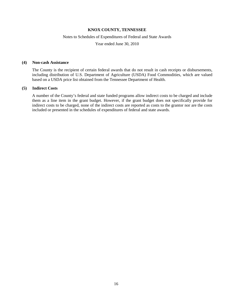#### Notes to Schedules of Expenditures of Federal and State Awards

Year ended June 30, 2010

#### **(4) Non-cash Assistance**

The County is the recipient of certain federal awards that do not result in cash receipts or disbursements, including distribution of U.S. Department of Agriculture (USDA) Food Commodities, which are valued based on a USDA price list obtained from the Tennessee Department of Health.

#### **(5) Indirect Costs**

A number of the County's federal and state funded programs allow indirect costs to be charged and include them as a line item in the grant budget. However, if the grant budget does not specifically provide for indirect costs to be charged, none of the indirect costs are reported as costs to the grantor nor are the costs included or presented in the schedules of expenditures of federal and state awards.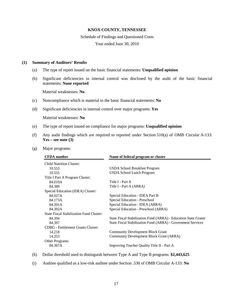#### Schedule of Findings and Questioned Costs

Year ended June 30, 2010

#### **(1) Summary of Auditors' Results**

- (a) The type of report issued on the basic financial statements: **Unqualified opinion**
- (b) Significant deficiencies in internal control was disclosed by the audit of the basic financial statements: **None reported**

Material weaknesses: **No**

- (c) Noncompliance which is material to the basic financial statements: **No**
- (d) Significant deficiencies in internal control over major programs: **Yes**

Material weaknesses: **No**

- (e) The type of report issued on compliance for major programs: **Unqualified opinion**
- (f) Any audit findings which are required to reported under Section 510(a) of OMB Circular A-133: **Yes – see note (3)**
- (g) Major programs:

| <b>CFDA</b> number                        | Name of federal program or cluster                              |  |
|-------------------------------------------|-----------------------------------------------------------------|--|
| <b>Child Nutrition Cluster:</b>           |                                                                 |  |
| 10.553                                    | USDA School Breakfast Program                                   |  |
| 10.555                                    | <b>USDA School Lunch Program</b>                                |  |
| Title I Part A Program Cluster:           |                                                                 |  |
| 84.010A                                   | Title I - Part A                                                |  |
| 84.389                                    | Title I - Part A (ARRA)                                         |  |
| Special Education (IDEA) Cluster:         |                                                                 |  |
| 84.027A                                   | Special Education - IDEA Part B                                 |  |
| 84.173A                                   | Special Education - Preschool                                   |  |
| 84.391A                                   | Special Education - IDEA (ARRA)                                 |  |
| 84.392A                                   | Special Education - Preschool (ARRA)                            |  |
| State Fiscal Stabilization Fund Cluster:  |                                                                 |  |
| 84.394                                    | State Fiscal Stabilization Fund (ARRA) - Education State Grants |  |
| 84.397                                    | State Fiscal Stabilization Fund (ARRA) - Government Services    |  |
| <b>CDBG</b> - Entitlement Grants Cluster: |                                                                 |  |
| 14.218                                    | <b>Community Development Block Grant</b>                        |  |
| 14.253                                    | Community Development Block Grant (ARRA)                        |  |
| Other Programs:                           |                                                                 |  |
| 84.367A                                   | Improving Teacher Quality Title II - Part A                     |  |
|                                           |                                                                 |  |

(h) Dollar threshold used to distinguish between Type A and Type B programs: **\$2,443,625**

(i) Auditee qualified as a low-risk auditee under Section .530 of OMB Circular A-133: **No**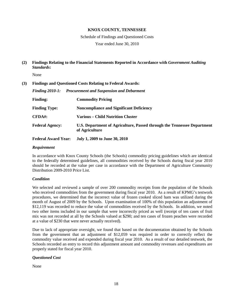Schedule of Findings and Questioned Costs

Year ended June 30, 2010

**(2) Findings Relating to the Financial Statements Reported in Accordance with** *Government Auditing Standards***:**

None

#### **(3) Findings and Questioned Costs Relating to Federal Awards:**

|                            | Finding 2010-1: Procurement and Suspension and Debarment                                  |
|----------------------------|-------------------------------------------------------------------------------------------|
| <b>Finding:</b>            | <b>Commodity Pricing</b>                                                                  |
| <b>Finding Type:</b>       | <b>Noncompliance and Significant Deficiency</b>                                           |
| $CFDA$ #:                  | Various – Child Nutrition Cluster                                                         |
| <b>Federal Agency:</b>     | U.S. Department of Agriculture, Passed through the Tennessee Department<br>of Agriculture |
| <b>Federal Award Year:</b> | July 1, 2009 to June 30, 2010                                                             |

#### *Requirement*

In accordance with Knox County Schools (the Schools) commodity pricing guidelines which are identical to the federally determined guidelines, all commodities received by the Schools during fiscal year 2010 should be recorded at the value per case in accordance with the Department of Agriculture Community Distribution 2009-2010 Price List.

#### *Condition*

We selected and reviewed a sample of over 200 commodity receipts from the population of the Schools who received commodities from the government during fiscal year 2010. As a result of KPMG's testwork procedures, we determined that the incorrect value of frozen cooked sliced ham was utilized during the month of August of 2009 by the Schools. Upon examination of 100% of this population an adjustment of \$12,119 was recorded to reduce the value of commodities received by the Schools. In addition, we noted two other items included in our sample that were incorrectly priced as well (receipt of ten cases of fruit mix was not recorded at all by the Schools valued at \$290; and ten cases of frozen peaches were recorded at a value of \$230 that were never actually received).

Due to lack of appropriate oversight, we found that based on the documentation obtained by the Schools from the government that an adjustment of \$12,059 was required in order to correctly reflect the commodity value received and expended during fiscal year 2010. As a result of our detailed testwork, the Schools recorded an entry to record this adjustment amount and commodity revenues and expenditures are properly stated for fiscal year 2010.

#### *Questioned Cost*

None